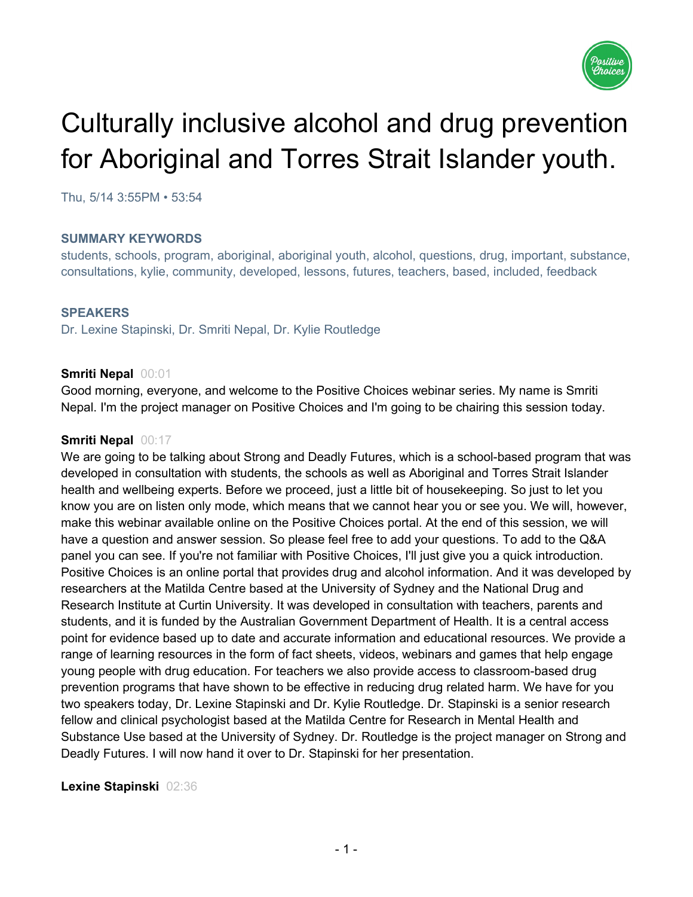

# Culturally inclusive alcohol and drug prevention for Aboriginal and Torres Strait Islander youth.

Thu, 5/14 3:55PM • 53:54

## **SUMMARY KEYWORDS**

students, schools, program, aboriginal, aboriginal youth, alcohol, questions, drug, important, substance, consultations, kylie, community, developed, lessons, futures, teachers, based, included, feedback

#### **SPEAKERS**

Dr. Lexine Stapinski, Dr. Smriti Nepal, Dr. Kylie Routledge

#### **Smriti Nepal** 00:01

Good morning, everyone, and welcome to the Positive Choices webinar series. My name is Smriti Nepal. I'm the project manager on Positive Choices and I'm going to be chairing this session today.

#### **Smriti Nepal** 00:17

We are going to be talking about Strong and Deadly Futures, which is a school-based program that was developed in consultation with students, the schools as well as Aboriginal and Torres Strait Islander health and wellbeing experts. Before we proceed, just a little bit of housekeeping. So just to let you know you are on listen only mode, which means that we cannot hear you or see you. We will, however, make this webinar available online on the Positive Choices portal. At the end of this session, we will have a question and answer session. So please feel free to add your questions. To add to the Q&A panel you can see. If you're not familiar with Positive Choices, I'll just give you a quick introduction. Positive Choices is an online portal that provides drug and alcohol information. And it was developed by researchers at the Matilda Centre based at the University of Sydney and the National Drug and Research Institute at Curtin University. It was developed in consultation with teachers, parents and students, and it is funded by the Australian Government Department of Health. It is a central access point for evidence based up to date and accurate information and educational resources. We provide a range of learning resources in the form of fact sheets, videos, webinars and games that help engage young people with drug education. For teachers we also provide access to classroom-based drug prevention programs that have shown to be effective in reducing drug related harm. We have for you two speakers today, Dr. Lexine Stapinski and Dr. Kylie Routledge. Dr. Stapinski is a senior research fellow and clinical psychologist based at the Matilda Centre for Research in Mental Health and Substance Use based at the University of Sydney. Dr. Routledge is the project manager on Strong and Deadly Futures. I will now hand it over to Dr. Stapinski for her presentation.

## **Lexine Stapinski** 02:36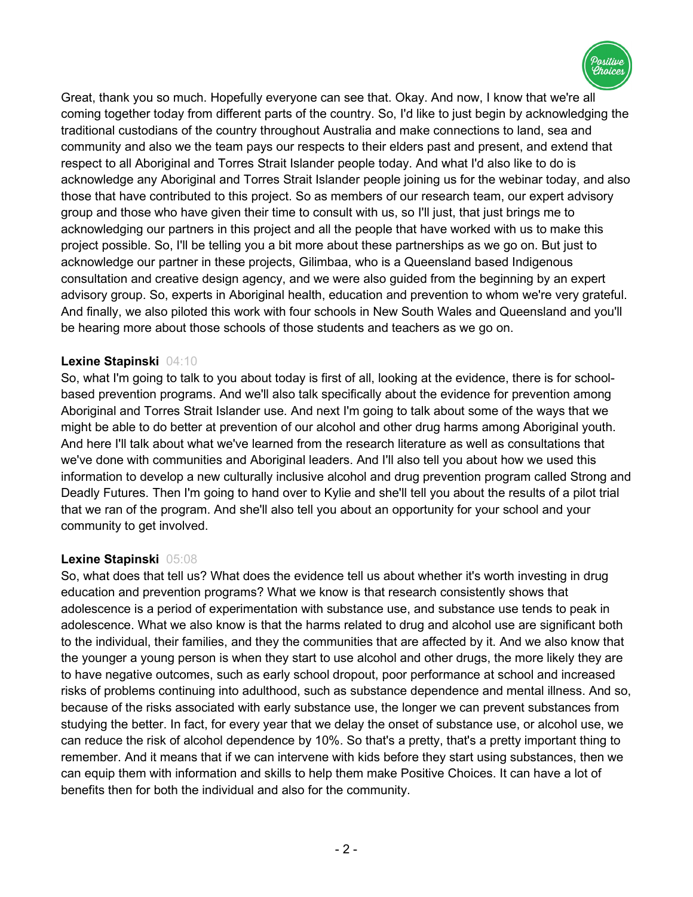

Great, thank you so much. Hopefully everyone can see that. Okay. And now, I know that we're all coming together today from different parts of the country. So, I'd like to just begin by acknowledging the traditional custodians of the country throughout Australia and make connections to land, sea and community and also we the team pays our respects to their elders past and present, and extend that respect to all Aboriginal and Torres Strait Islander people today. And what I'd also like to do is acknowledge any Aboriginal and Torres Strait Islander people joining us for the webinar today, and also those that have contributed to this project. So as members of our research team, our expert advisory group and those who have given their time to consult with us, so I'll just, that just brings me to acknowledging our partners in this project and all the people that have worked with us to make this project possible. So, I'll be telling you a bit more about these partnerships as we go on. But just to acknowledge our partner in these projects, Gilimbaa, who is a Queensland based Indigenous consultation and creative design agency, and we were also guided from the beginning by an expert advisory group. So, experts in Aboriginal health, education and prevention to whom we're very grateful. And finally, we also piloted this work with four schools in New South Wales and Queensland and you'll be hearing more about those schools of those students and teachers as we go on.

## **Lexine Stapinski** 04:10

So, what I'm going to talk to you about today is first of all, looking at the evidence, there is for schoolbased prevention programs. And we'll also talk specifically about the evidence for prevention among Aboriginal and Torres Strait Islander use. And next I'm going to talk about some of the ways that we might be able to do better at prevention of our alcohol and other drug harms among Aboriginal youth. And here I'll talk about what we've learned from the research literature as well as consultations that we've done with communities and Aboriginal leaders. And I'll also tell you about how we used this information to develop a new culturally inclusive alcohol and drug prevention program called Strong and Deadly Futures. Then I'm going to hand over to Kylie and she'll tell you about the results of a pilot trial that we ran of the program. And she'll also tell you about an opportunity for your school and your community to get involved.

# **Lexine Stapinski** 05:08

So, what does that tell us? What does the evidence tell us about whether it's worth investing in drug education and prevention programs? What we know is that research consistently shows that adolescence is a period of experimentation with substance use, and substance use tends to peak in adolescence. What we also know is that the harms related to drug and alcohol use are significant both to the individual, their families, and they the communities that are affected by it. And we also know that the younger a young person is when they start to use alcohol and other drugs, the more likely they are to have negative outcomes, such as early school dropout, poor performance at school and increased risks of problems continuing into adulthood, such as substance dependence and mental illness. And so, because of the risks associated with early substance use, the longer we can prevent substances from studying the better. In fact, for every year that we delay the onset of substance use, or alcohol use, we can reduce the risk of alcohol dependence by 10%. So that's a pretty, that's a pretty important thing to remember. And it means that if we can intervene with kids before they start using substances, then we can equip them with information and skills to help them make Positive Choices. It can have a lot of benefits then for both the individual and also for the community.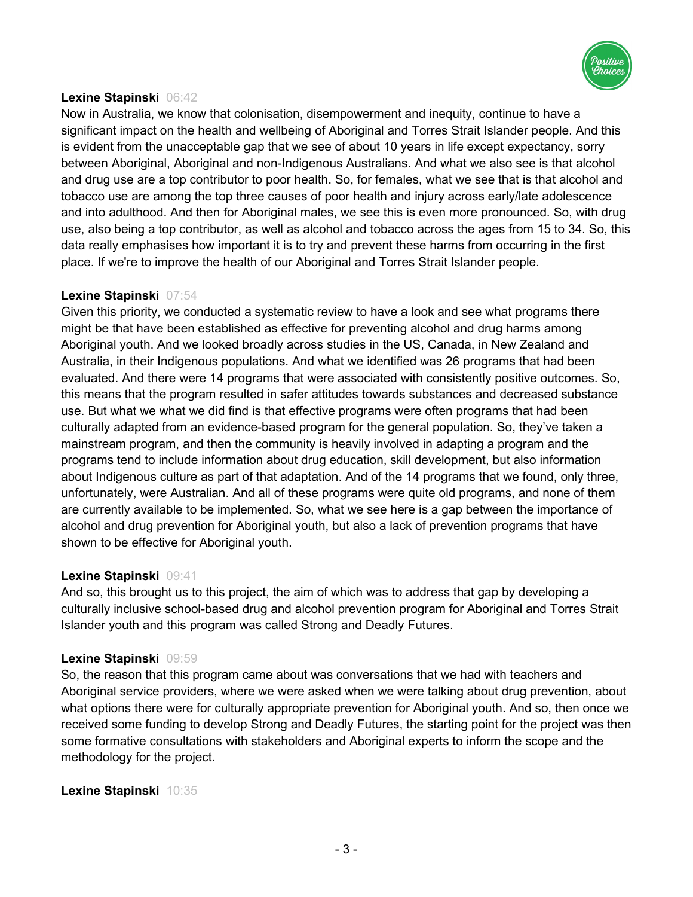

## **Lexine Stapinski** 06:42

Now in Australia, we know that colonisation, disempowerment and inequity, continue to have a significant impact on the health and wellbeing of Aboriginal and Torres Strait Islander people. And this is evident from the unacceptable gap that we see of about 10 years in life except expectancy, sorry between Aboriginal, Aboriginal and non-Indigenous Australians. And what we also see is that alcohol and drug use are a top contributor to poor health. So, for females, what we see that is that alcohol and tobacco use are among the top three causes of poor health and injury across early/late adolescence and into adulthood. And then for Aboriginal males, we see this is even more pronounced. So, with drug use, also being a top contributor, as well as alcohol and tobacco across the ages from 15 to 34. So, this data really emphasises how important it is to try and prevent these harms from occurring in the first place. If we're to improve the health of our Aboriginal and Torres Strait Islander people.

## **Lexine Stapinski** 07:54

Given this priority, we conducted a systematic review to have a look and see what programs there might be that have been established as effective for preventing alcohol and drug harms among Aboriginal youth. And we looked broadly across studies in the US, Canada, in New Zealand and Australia, in their Indigenous populations. And what we identified was 26 programs that had been evaluated. And there were 14 programs that were associated with consistently positive outcomes. So, this means that the program resulted in safer attitudes towards substances and decreased substance use. But what we what we did find is that effective programs were often programs that had been culturally adapted from an evidence-based program for the general population. So, they've taken a mainstream program, and then the community is heavily involved in adapting a program and the programs tend to include information about drug education, skill development, but also information about Indigenous culture as part of that adaptation. And of the 14 programs that we found, only three, unfortunately, were Australian. And all of these programs were quite old programs, and none of them are currently available to be implemented. So, what we see here is a gap between the importance of alcohol and drug prevention for Aboriginal youth, but also a lack of prevention programs that have shown to be effective for Aboriginal youth.

## **Lexine Stapinski** 09:41

And so, this brought us to this project, the aim of which was to address that gap by developing a culturally inclusive school-based drug and alcohol prevention program for Aboriginal and Torres Strait Islander youth and this program was called Strong and Deadly Futures.

## **Lexine Stapinski** 09:59

So, the reason that this program came about was conversations that we had with teachers and Aboriginal service providers, where we were asked when we were talking about drug prevention, about what options there were for culturally appropriate prevention for Aboriginal youth. And so, then once we received some funding to develop Strong and Deadly Futures, the starting point for the project was then some formative consultations with stakeholders and Aboriginal experts to inform the scope and the methodology for the project.

**Lexine Stapinski** 10:35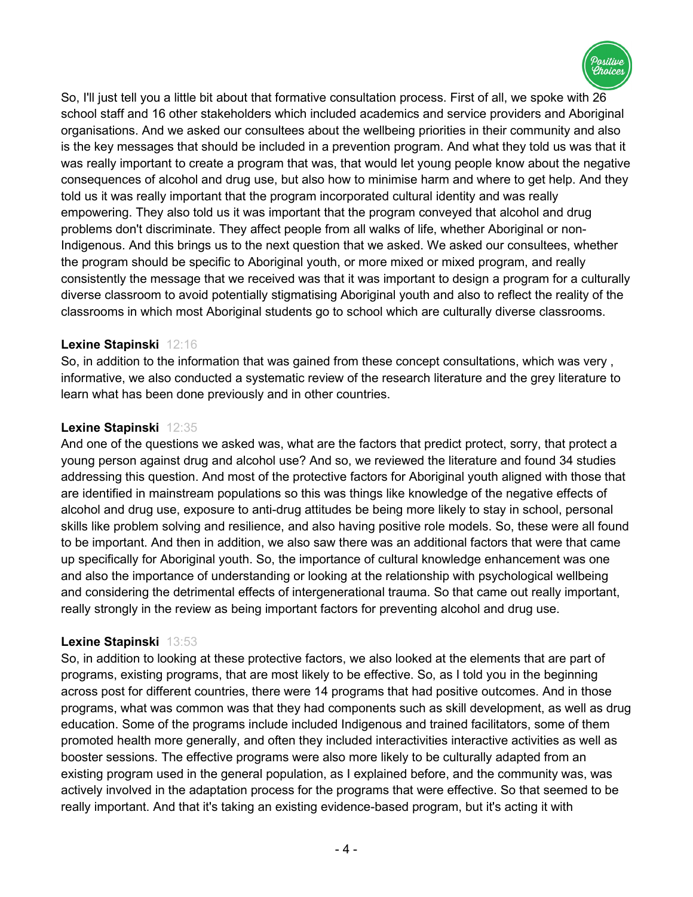

So, I'll just tell you a little bit about that formative consultation process. First of all, we spoke with 26 school staff and 16 other stakeholders which included academics and service providers and Aboriginal organisations. And we asked our consultees about the wellbeing priorities in their community and also is the key messages that should be included in a prevention program. And what they told us was that it was really important to create a program that was, that would let young people know about the negative consequences of alcohol and drug use, but also how to minimise harm and where to get help. And they told us it was really important that the program incorporated cultural identity and was really empowering. They also told us it was important that the program conveyed that alcohol and drug problems don't discriminate. They affect people from all walks of life, whether Aboriginal or non-Indigenous. And this brings us to the next question that we asked. We asked our consultees, whether the program should be specific to Aboriginal youth, or more mixed or mixed program, and really consistently the message that we received was that it was important to design a program for a culturally diverse classroom to avoid potentially stigmatising Aboriginal youth and also to reflect the reality of the classrooms in which most Aboriginal students go to school which are culturally diverse classrooms.

# **Lexine Stapinski** 12:16

So, in addition to the information that was gained from these concept consultations, which was very , informative, we also conducted a systematic review of the research literature and the grey literature to learn what has been done previously and in other countries.

## **Lexine Stapinski** 12:35

And one of the questions we asked was, what are the factors that predict protect, sorry, that protect a young person against drug and alcohol use? And so, we reviewed the literature and found 34 studies addressing this question. And most of the protective factors for Aboriginal youth aligned with those that are identified in mainstream populations so this was things like knowledge of the negative effects of alcohol and drug use, exposure to anti-drug attitudes be being more likely to stay in school, personal skills like problem solving and resilience, and also having positive role models. So, these were all found to be important. And then in addition, we also saw there was an additional factors that were that came up specifically for Aboriginal youth. So, the importance of cultural knowledge enhancement was one and also the importance of understanding or looking at the relationship with psychological wellbeing and considering the detrimental effects of intergenerational trauma. So that came out really important, really strongly in the review as being important factors for preventing alcohol and drug use.

## **Lexine Stapinski** 13:53

So, in addition to looking at these protective factors, we also looked at the elements that are part of programs, existing programs, that are most likely to be effective. So, as I told you in the beginning across post for different countries, there were 14 programs that had positive outcomes. And in those programs, what was common was that they had components such as skill development, as well as drug education. Some of the programs include included Indigenous and trained facilitators, some of them promoted health more generally, and often they included interactivities interactive activities as well as booster sessions. The effective programs were also more likely to be culturally adapted from an existing program used in the general population, as I explained before, and the community was, was actively involved in the adaptation process for the programs that were effective. So that seemed to be really important. And that it's taking an existing evidence-based program, but it's acting it with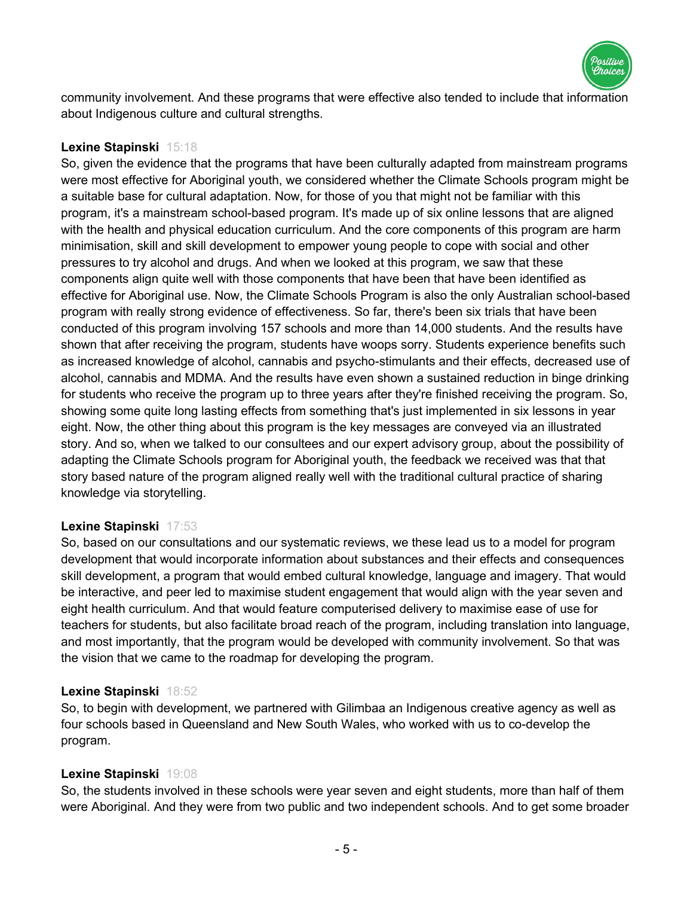

community involvement. And these programs that were effective also tended to include that information about Indigenous culture and cultural strengths.

## **Lexine Stapinski** 15:18

So, given the evidence that the programs that have been culturally adapted from mainstream programs were most effective for Aboriginal youth, we considered whether the Climate Schools program might be a suitable base for cultural adaptation. Now, for those of you that might not be familiar with this program, it's a mainstream school-based program. It's made up of six online lessons that are aligned with the health and physical education curriculum. And the core components of this program are harm minimisation, skill and skill development to empower young people to cope with social and other pressures to try alcohol and drugs. And when we looked at this program, we saw that these components align quite well with those components that have been that have been identified as effective for Aboriginal use. Now, the Climate Schools Program is also the only Australian school-based program with really strong evidence of effectiveness. So far, there's been six trials that have been conducted of this program involving 157 schools and more than 14,000 students. And the results have shown that after receiving the program, students have woops sorry. Students experience benefits such as increased knowledge of alcohol, cannabis and psycho-stimulants and their effects, decreased use of alcohol, cannabis and MDMA. And the results have even shown a sustained reduction in binge drinking for students who receive the program up to three years after they're finished receiving the program. So, showing some quite long lasting effects from something that's just implemented in six lessons in year eight. Now, the other thing about this program is the key messages are conveyed via an illustrated story. And so, when we talked to our consultees and our expert advisory group, about the possibility of adapting the Climate Schools program for Aboriginal youth, the feedback we received was that that story based nature of the program aligned really well with the traditional cultural practice of sharing knowledge via storytelling.

## **Lexine Stapinski** 17:53

So, based on our consultations and our systematic reviews, we these lead us to a model for program development that would incorporate information about substances and their effects and consequences skill development, a program that would embed cultural knowledge, language and imagery. That would be interactive, and peer led to maximise student engagement that would align with the year seven and eight health curriculum. And that would feature computerised delivery to maximise ease of use for teachers for students, but also facilitate broad reach of the program, including translation into language, and most importantly, that the program would be developed with community involvement. So that was the vision that we came to the roadmap for developing the program.

## **Lexine Stapinski** 18:52

So, to begin with development, we partnered with Gilimbaa an Indigenous creative agency as well as four schools based in Queensland and New South Wales, who worked with us to co-develop the program.

## **Lexine Stapinski** 19:08

So, the students involved in these schools were year seven and eight students, more than half of them were Aboriginal. And they were from two public and two independent schools. And to get some broader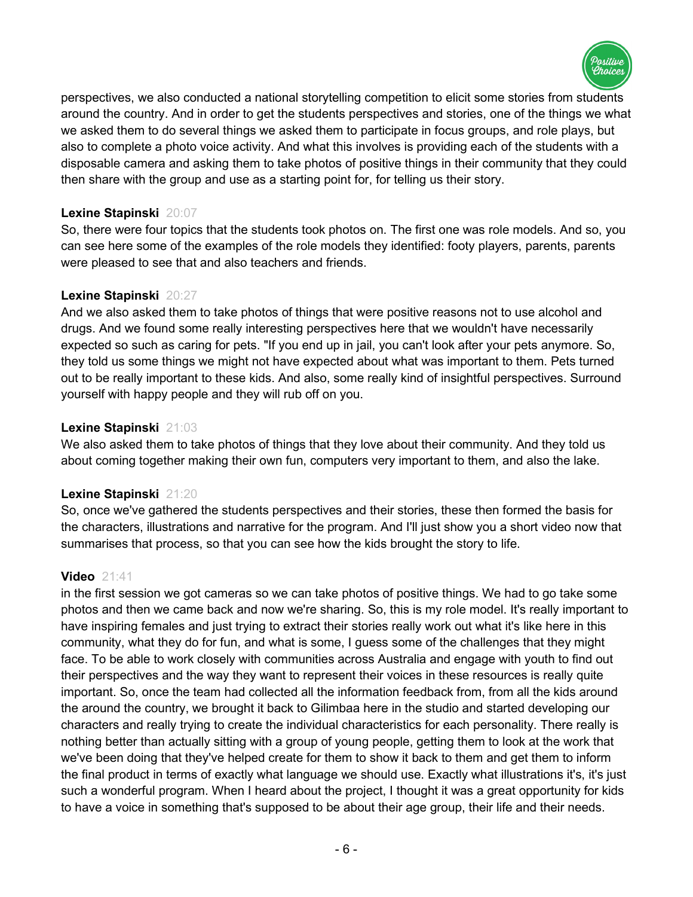

perspectives, we also conducted a national storytelling competition to elicit some stories from students around the country. And in order to get the students perspectives and stories, one of the things we what we asked them to do several things we asked them to participate in focus groups, and role plays, but also to complete a photo voice activity. And what this involves is providing each of the students with a disposable camera and asking them to take photos of positive things in their community that they could then share with the group and use as a starting point for, for telling us their story.

## **Lexine Stapinski** 20:07

So, there were four topics that the students took photos on. The first one was role models. And so, you can see here some of the examples of the role models they identified: footy players, parents, parents were pleased to see that and also teachers and friends.

## **Lexine Stapinski** 20:27

And we also asked them to take photos of things that were positive reasons not to use alcohol and drugs. And we found some really interesting perspectives here that we wouldn't have necessarily expected so such as caring for pets. "If you end up in jail, you can't look after your pets anymore. So, they told us some things we might not have expected about what was important to them. Pets turned out to be really important to these kids. And also, some really kind of insightful perspectives. Surround yourself with happy people and they will rub off on you.

## **Lexine Stapinski** 21:03

We also asked them to take photos of things that they love about their community. And they told us about coming together making their own fun, computers very important to them, and also the lake.

# **Lexine Stapinski** 21:20

So, once we've gathered the students perspectives and their stories, these then formed the basis for the characters, illustrations and narrative for the program. And I'll just show you a short video now that summarises that process, so that you can see how the kids brought the story to life.

# **Video** 21:41

in the first session we got cameras so we can take photos of positive things. We had to go take some photos and then we came back and now we're sharing. So, this is my role model. It's really important to have inspiring females and just trying to extract their stories really work out what it's like here in this community, what they do for fun, and what is some, I guess some of the challenges that they might face. To be able to work closely with communities across Australia and engage with youth to find out their perspectives and the way they want to represent their voices in these resources is really quite important. So, once the team had collected all the information feedback from, from all the kids around the around the country, we brought it back to Gilimbaa here in the studio and started developing our characters and really trying to create the individual characteristics for each personality. There really is nothing better than actually sitting with a group of young people, getting them to look at the work that we've been doing that they've helped create for them to show it back to them and get them to inform the final product in terms of exactly what language we should use. Exactly what illustrations it's, it's just such a wonderful program. When I heard about the project, I thought it was a great opportunity for kids to have a voice in something that's supposed to be about their age group, their life and their needs.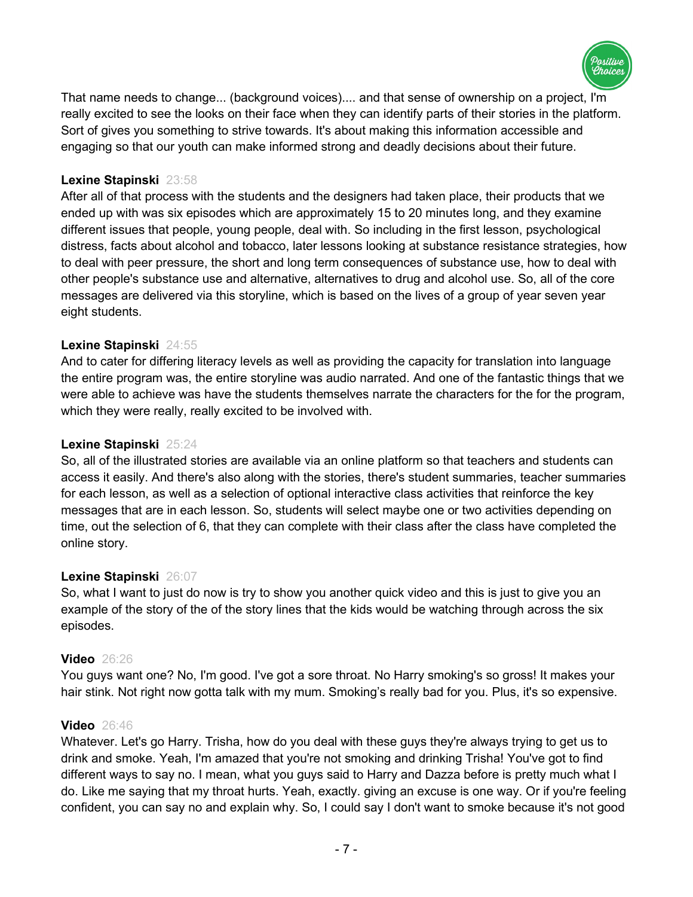

That name needs to change... (background voices).... and that sense of ownership on a project, I'm really excited to see the looks on their face when they can identify parts of their stories in the platform. Sort of gives you something to strive towards. It's about making this information accessible and engaging so that our youth can make informed strong and deadly decisions about their future.

## **Lexine Stapinski** 23:58

After all of that process with the students and the designers had taken place, their products that we ended up with was six episodes which are approximately 15 to 20 minutes long, and they examine different issues that people, young people, deal with. So including in the first lesson, psychological distress, facts about alcohol and tobacco, later lessons looking at substance resistance strategies, how to deal with peer pressure, the short and long term consequences of substance use, how to deal with other people's substance use and alternative, alternatives to drug and alcohol use. So, all of the core messages are delivered via this storyline, which is based on the lives of a group of year seven year eight students.

## **Lexine Stapinski** 24:55

And to cater for differing literacy levels as well as providing the capacity for translation into language the entire program was, the entire storyline was audio narrated. And one of the fantastic things that we were able to achieve was have the students themselves narrate the characters for the for the program, which they were really, really excited to be involved with.

## **Lexine Stapinski** 25:24

So, all of the illustrated stories are available via an online platform so that teachers and students can access it easily. And there's also along with the stories, there's student summaries, teacher summaries for each lesson, as well as a selection of optional interactive class activities that reinforce the key messages that are in each lesson. So, students will select maybe one or two activities depending on time, out the selection of 6, that they can complete with their class after the class have completed the online story.

## **Lexine Stapinski** 26:07

So, what I want to just do now is try to show you another quick video and this is just to give you an example of the story of the of the story lines that the kids would be watching through across the six episodes.

# **Video** 26:26

You guys want one? No, I'm good. I've got a sore throat. No Harry smoking's so gross! It makes your hair stink. Not right now gotta talk with my mum. Smoking's really bad for you. Plus, it's so expensive.

## **Video** 26:46

Whatever. Let's go Harry. Trisha, how do you deal with these guys they're always trying to get us to drink and smoke. Yeah, I'm amazed that you're not smoking and drinking Trisha! You've got to find different ways to say no. I mean, what you guys said to Harry and Dazza before is pretty much what I do. Like me saying that my throat hurts. Yeah, exactly. giving an excuse is one way. Or if you're feeling confident, you can say no and explain why. So, I could say I don't want to smoke because it's not good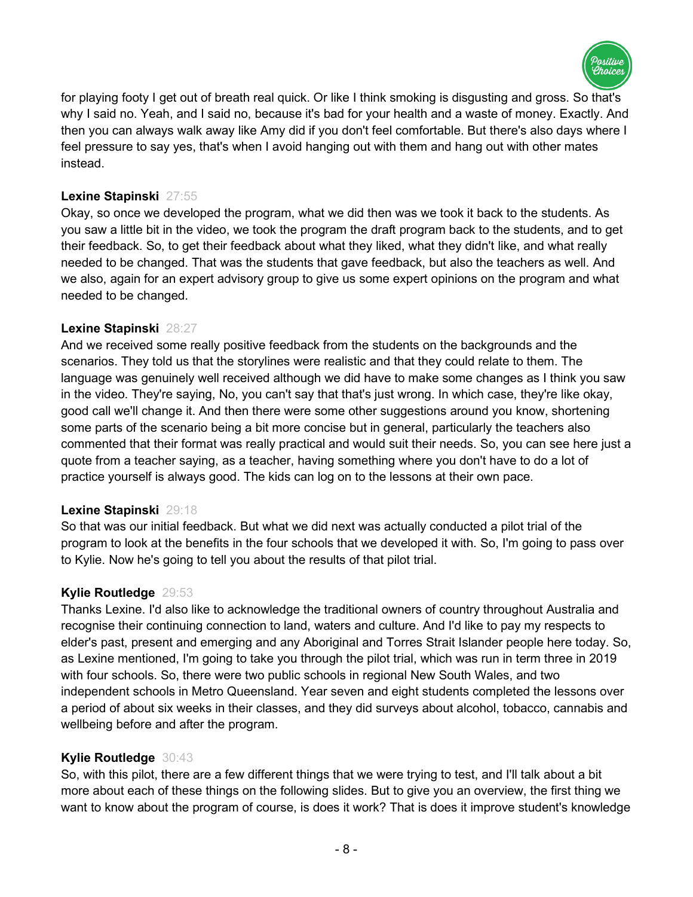

for playing footy I get out of breath real quick. Or like I think smoking is disgusting and gross. So that's why I said no. Yeah, and I said no, because it's bad for your health and a waste of money. Exactly. And then you can always walk away like Amy did if you don't feel comfortable. But there's also days where I feel pressure to say yes, that's when I avoid hanging out with them and hang out with other mates instead.

## **Lexine Stapinski** 27:55

Okay, so once we developed the program, what we did then was we took it back to the students. As you saw a little bit in the video, we took the program the draft program back to the students, and to get their feedback. So, to get their feedback about what they liked, what they didn't like, and what really needed to be changed. That was the students that gave feedback, but also the teachers as well. And we also, again for an expert advisory group to give us some expert opinions on the program and what needed to be changed.

## **Lexine Stapinski** 28:27

And we received some really positive feedback from the students on the backgrounds and the scenarios. They told us that the storylines were realistic and that they could relate to them. The language was genuinely well received although we did have to make some changes as I think you saw in the video. They're saying, No, you can't say that that's just wrong. In which case, they're like okay, good call we'll change it. And then there were some other suggestions around you know, shortening some parts of the scenario being a bit more concise but in general, particularly the teachers also commented that their format was really practical and would suit their needs. So, you can see here just a quote from a teacher saying, as a teacher, having something where you don't have to do a lot of practice yourself is always good. The kids can log on to the lessons at their own pace.

## **Lexine Stapinski** 29:18

So that was our initial feedback. But what we did next was actually conducted a pilot trial of the program to look at the benefits in the four schools that we developed it with. So, I'm going to pass over to Kylie. Now he's going to tell you about the results of that pilot trial.

# **Kylie Routledge** 29:53

Thanks Lexine. I'd also like to acknowledge the traditional owners of country throughout Australia and recognise their continuing connection to land, waters and culture. And I'd like to pay my respects to elder's past, present and emerging and any Aboriginal and Torres Strait Islander people here today. So, as Lexine mentioned, I'm going to take you through the pilot trial, which was run in term three in 2019 with four schools. So, there were two public schools in regional New South Wales, and two independent schools in Metro Queensland. Year seven and eight students completed the lessons over a period of about six weeks in their classes, and they did surveys about alcohol, tobacco, cannabis and wellbeing before and after the program.

# **Kylie Routledge** 30:43

So, with this pilot, there are a few different things that we were trying to test, and I'll talk about a bit more about each of these things on the following slides. But to give you an overview, the first thing we want to know about the program of course, is does it work? That is does it improve student's knowledge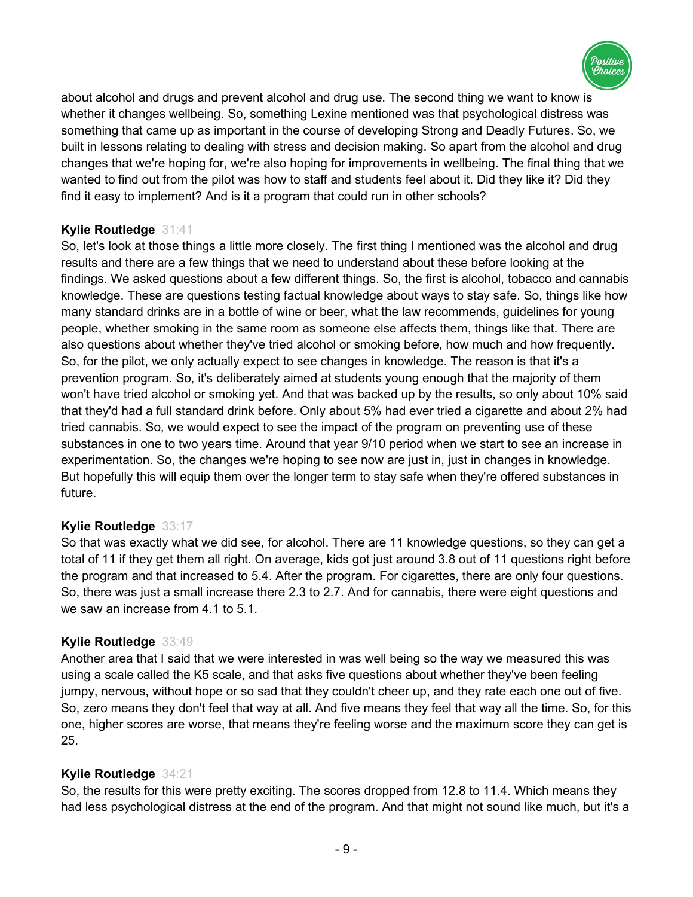

about alcohol and drugs and prevent alcohol and drug use. The second thing we want to know is whether it changes wellbeing. So, something Lexine mentioned was that psychological distress was something that came up as important in the course of developing Strong and Deadly Futures. So, we built in lessons relating to dealing with stress and decision making. So apart from the alcohol and drug changes that we're hoping for, we're also hoping for improvements in wellbeing. The final thing that we wanted to find out from the pilot was how to staff and students feel about it. Did they like it? Did they find it easy to implement? And is it a program that could run in other schools?

# **Kylie Routledge** 31:41

So, let's look at those things a little more closely. The first thing I mentioned was the alcohol and drug results and there are a few things that we need to understand about these before looking at the findings. We asked questions about a few different things. So, the first is alcohol, tobacco and cannabis knowledge. These are questions testing factual knowledge about ways to stay safe. So, things like how many standard drinks are in a bottle of wine or beer, what the law recommends, guidelines for young people, whether smoking in the same room as someone else affects them, things like that. There are also questions about whether they've tried alcohol or smoking before, how much and how frequently. So, for the pilot, we only actually expect to see changes in knowledge. The reason is that it's a prevention program. So, it's deliberately aimed at students young enough that the majority of them won't have tried alcohol or smoking yet. And that was backed up by the results, so only about 10% said that they'd had a full standard drink before. Only about 5% had ever tried a cigarette and about 2% had tried cannabis. So, we would expect to see the impact of the program on preventing use of these substances in one to two years time. Around that year 9/10 period when we start to see an increase in experimentation. So, the changes we're hoping to see now are just in, just in changes in knowledge. But hopefully this will equip them over the longer term to stay safe when they're offered substances in future.

# **Kylie Routledge** 33:17

So that was exactly what we did see, for alcohol. There are 11 knowledge questions, so they can get a total of 11 if they get them all right. On average, kids got just around 3.8 out of 11 questions right before the program and that increased to 5.4. After the program. For cigarettes, there are only four questions. So, there was just a small increase there 2.3 to 2.7. And for cannabis, there were eight questions and we saw an increase from 4.1 to 5.1.

# **Kylie Routledge** 33:49

Another area that I said that we were interested in was well being so the way we measured this was using a scale called the K5 scale, and that asks five questions about whether they've been feeling jumpy, nervous, without hope or so sad that they couldn't cheer up, and they rate each one out of five. So, zero means they don't feel that way at all. And five means they feel that way all the time. So, for this one, higher scores are worse, that means they're feeling worse and the maximum score they can get is 25.

# **Kylie Routledge** 34:21

So, the results for this were pretty exciting. The scores dropped from 12.8 to 11.4. Which means they had less psychological distress at the end of the program. And that might not sound like much, but it's a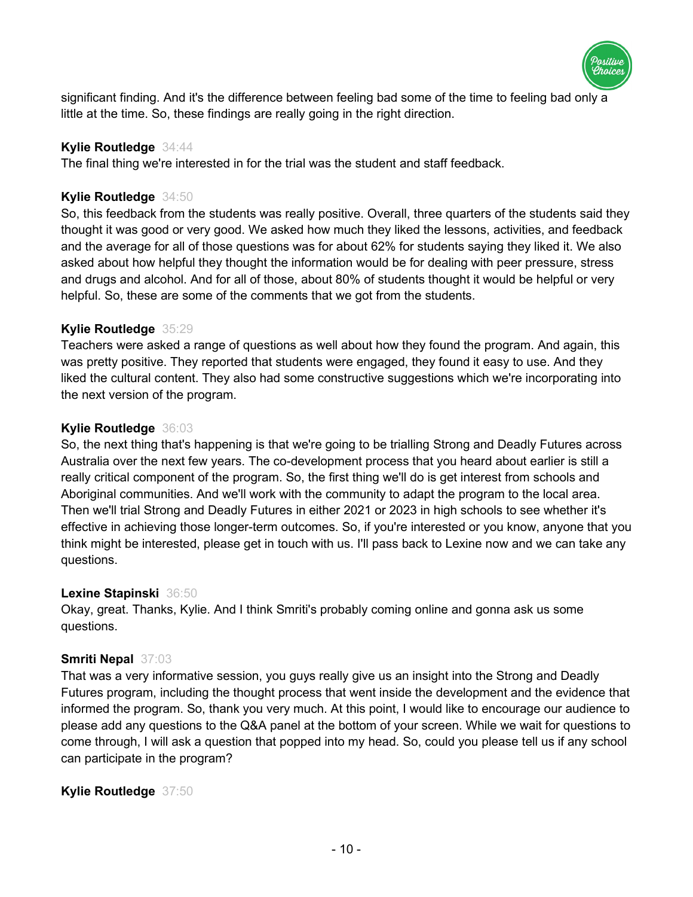

significant finding. And it's the difference between feeling bad some of the time to feeling bad only a little at the time. So, these findings are really going in the right direction.

## **Kylie Routledge** 34:44

The final thing we're interested in for the trial was the student and staff feedback.

## **Kylie Routledge** 34:50

So, this feedback from the students was really positive. Overall, three quarters of the students said they thought it was good or very good. We asked how much they liked the lessons, activities, and feedback and the average for all of those questions was for about 62% for students saying they liked it. We also asked about how helpful they thought the information would be for dealing with peer pressure, stress and drugs and alcohol. And for all of those, about 80% of students thought it would be helpful or very helpful. So, these are some of the comments that we got from the students.

## **Kylie Routledge** 35:29

Teachers were asked a range of questions as well about how they found the program. And again, this was pretty positive. They reported that students were engaged, they found it easy to use. And they liked the cultural content. They also had some constructive suggestions which we're incorporating into the next version of the program.

## **Kylie Routledge** 36:03

So, the next thing that's happening is that we're going to be trialling Strong and Deadly Futures across Australia over the next few years. The co-development process that you heard about earlier is still a really critical component of the program. So, the first thing we'll do is get interest from schools and Aboriginal communities. And we'll work with the community to adapt the program to the local area. Then we'll trial Strong and Deadly Futures in either 2021 or 2023 in high schools to see whether it's effective in achieving those longer-term outcomes. So, if you're interested or you know, anyone that you think might be interested, please get in touch with us. I'll pass back to Lexine now and we can take any questions.

## **Lexine Stapinski** 36:50

Okay, great. Thanks, Kylie. And I think Smriti's probably coming online and gonna ask us some questions.

# **Smriti Nepal** 37:03

That was a very informative session, you guys really give us an insight into the Strong and Deadly Futures program, including the thought process that went inside the development and the evidence that informed the program. So, thank you very much. At this point, I would like to encourage our audience to please add any questions to the Q&A panel at the bottom of your screen. While we wait for questions to come through, I will ask a question that popped into my head. So, could you please tell us if any school can participate in the program?

# **Kylie Routledge** 37:50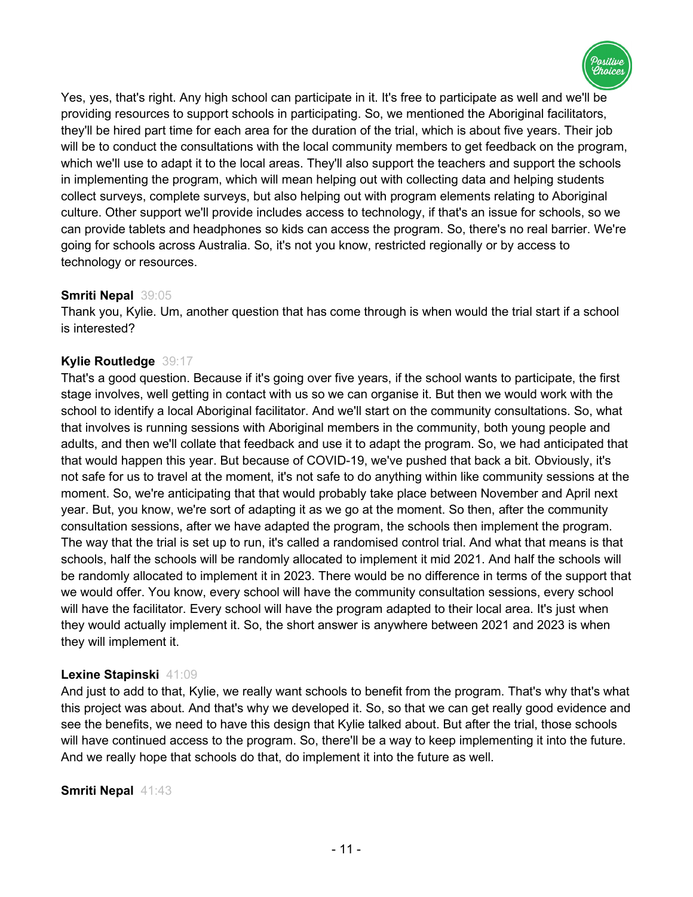

Yes, yes, that's right. Any high school can participate in it. It's free to participate as well and we'll be providing resources to support schools in participating. So, we mentioned the Aboriginal facilitators, they'll be hired part time for each area for the duration of the trial, which is about five years. Their job will be to conduct the consultations with the local community members to get feedback on the program, which we'll use to adapt it to the local areas. They'll also support the teachers and support the schools in implementing the program, which will mean helping out with collecting data and helping students collect surveys, complete surveys, but also helping out with program elements relating to Aboriginal culture. Other support we'll provide includes access to technology, if that's an issue for schools, so we can provide tablets and headphones so kids can access the program. So, there's no real barrier. We're going for schools across Australia. So, it's not you know, restricted regionally or by access to technology or resources.

# **Smriti Nepal** 39:05

Thank you, Kylie. Um, another question that has come through is when would the trial start if a school is interested?

## **Kylie Routledge** 39:17

That's a good question. Because if it's going over five years, if the school wants to participate, the first stage involves, well getting in contact with us so we can organise it. But then we would work with the school to identify a local Aboriginal facilitator. And we'll start on the community consultations. So, what that involves is running sessions with Aboriginal members in the community, both young people and adults, and then we'll collate that feedback and use it to adapt the program. So, we had anticipated that that would happen this year. But because of COVID-19, we've pushed that back a bit. Obviously, it's not safe for us to travel at the moment, it's not safe to do anything within like community sessions at the moment. So, we're anticipating that that would probably take place between November and April next year. But, you know, we're sort of adapting it as we go at the moment. So then, after the community consultation sessions, after we have adapted the program, the schools then implement the program. The way that the trial is set up to run, it's called a randomised control trial. And what that means is that schools, half the schools will be randomly allocated to implement it mid 2021. And half the schools will be randomly allocated to implement it in 2023. There would be no difference in terms of the support that we would offer. You know, every school will have the community consultation sessions, every school will have the facilitator. Every school will have the program adapted to their local area. It's just when they would actually implement it. So, the short answer is anywhere between 2021 and 2023 is when they will implement it.

## **Lexine Stapinski** 41:09

And just to add to that, Kylie, we really want schools to benefit from the program. That's why that's what this project was about. And that's why we developed it. So, so that we can get really good evidence and see the benefits, we need to have this design that Kylie talked about. But after the trial, those schools will have continued access to the program. So, there'll be a way to keep implementing it into the future. And we really hope that schools do that, do implement it into the future as well.

## **Smriti Nepal** 41:43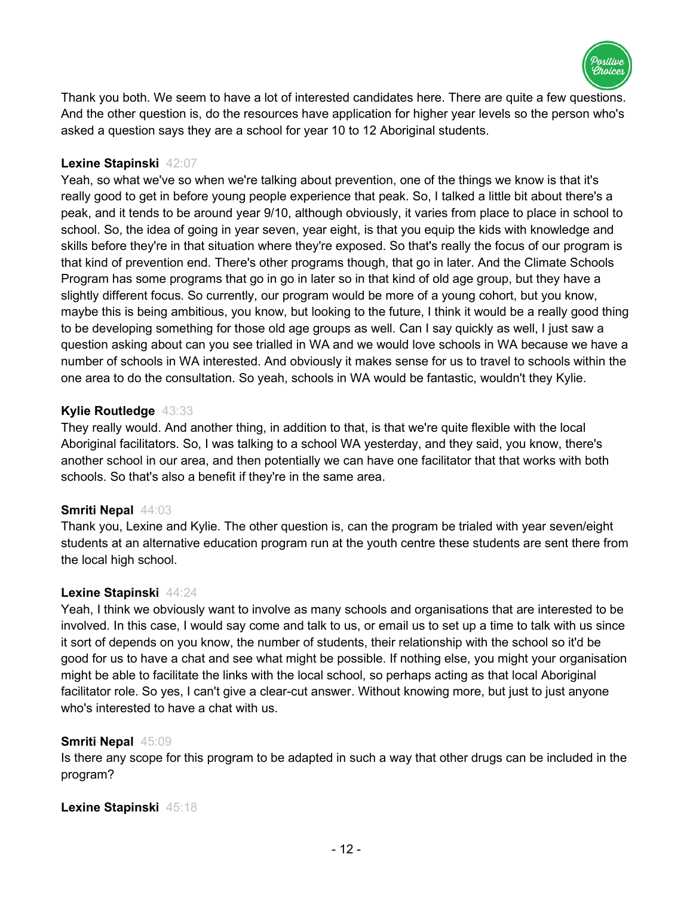

Thank you both. We seem to have a lot of interested candidates here. There are quite a few questions. And the other question is, do the resources have application for higher year levels so the person who's asked a question says they are a school for year 10 to 12 Aboriginal students.

## **Lexine Stapinski** 42:07

Yeah, so what we've so when we're talking about prevention, one of the things we know is that it's really good to get in before young people experience that peak. So, I talked a little bit about there's a peak, and it tends to be around year 9/10, although obviously, it varies from place to place in school to school. So, the idea of going in year seven, year eight, is that you equip the kids with knowledge and skills before they're in that situation where they're exposed. So that's really the focus of our program is that kind of prevention end. There's other programs though, that go in later. And the Climate Schools Program has some programs that go in go in later so in that kind of old age group, but they have a slightly different focus. So currently, our program would be more of a young cohort, but you know, maybe this is being ambitious, you know, but looking to the future, I think it would be a really good thing to be developing something for those old age groups as well. Can I say quickly as well, I just saw a question asking about can you see trialled in WA and we would love schools in WA because we have a number of schools in WA interested. And obviously it makes sense for us to travel to schools within the one area to do the consultation. So yeah, schools in WA would be fantastic, wouldn't they Kylie.

## **Kylie Routledge** 43:33

They really would. And another thing, in addition to that, is that we're quite flexible with the local Aboriginal facilitators. So, I was talking to a school WA yesterday, and they said, you know, there's another school in our area, and then potentially we can have one facilitator that that works with both schools. So that's also a benefit if they're in the same area.

## **Smriti Nepal** 44:03

Thank you, Lexine and Kylie. The other question is, can the program be trialed with year seven/eight students at an alternative education program run at the youth centre these students are sent there from the local high school.

## **Lexine Stapinski** 44:24

Yeah, I think we obviously want to involve as many schools and organisations that are interested to be involved. In this case, I would say come and talk to us, or email us to set up a time to talk with us since it sort of depends on you know, the number of students, their relationship with the school so it'd be good for us to have a chat and see what might be possible. If nothing else, you might your organisation might be able to facilitate the links with the local school, so perhaps acting as that local Aboriginal facilitator role. So yes, I can't give a clear-cut answer. Without knowing more, but just to just anyone who's interested to have a chat with us.

# **Smriti Nepal** 45:09

Is there any scope for this program to be adapted in such a way that other drugs can be included in the program?

## **Lexine Stapinski** 45:18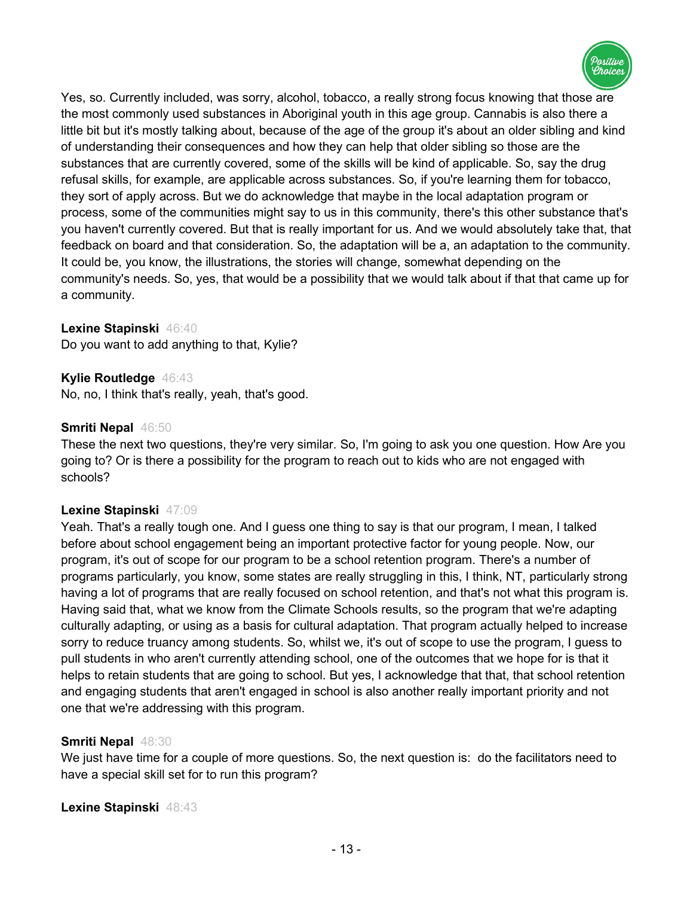

Yes, so. Currently included, was sorry, alcohol, tobacco, a really strong focus knowing that those are the most commonly used substances in Aboriginal youth in this age group. Cannabis is also there a little bit but it's mostly talking about, because of the age of the group it's about an older sibling and kind of understanding their consequences and how they can help that older sibling so those are the substances that are currently covered, some of the skills will be kind of applicable. So, say the drug refusal skills, for example, are applicable across substances. So, if you're learning them for tobacco, they sort of apply across. But we do acknowledge that maybe in the local adaptation program or process, some of the communities might say to us in this community, there's this other substance that's you haven't currently covered. But that is really important for us. And we would absolutely take that, that feedback on board and that consideration. So, the adaptation will be a, an adaptation to the community. It could be, you know, the illustrations, the stories will change, somewhat depending on the community's needs. So, yes, that would be a possibility that we would talk about if that that came up for a community.

## **Lexine Stapinski** 46:40

Do you want to add anything to that, Kylie?

#### **Kylie Routledge** 46:43

No, no, I think that's really, yeah, that's good.

#### **Smriti Nepal** 46:50

These the next two questions, they're very similar. So, I'm going to ask you one question. How Are you going to? Or is there a possibility for the program to reach out to kids who are not engaged with schools?

#### **Lexine Stapinski** 47:09

Yeah. That's a really tough one. And I guess one thing to say is that our program, I mean, I talked before about school engagement being an important protective factor for young people. Now, our program, it's out of scope for our program to be a school retention program. There's a number of programs particularly, you know, some states are really struggling in this, I think, NT, particularly strong having a lot of programs that are really focused on school retention, and that's not what this program is. Having said that, what we know from the Climate Schools results, so the program that we're adapting culturally adapting, or using as a basis for cultural adaptation. That program actually helped to increase sorry to reduce truancy among students. So, whilst we, it's out of scope to use the program, I guess to pull students in who aren't currently attending school, one of the outcomes that we hope for is that it helps to retain students that are going to school. But yes, I acknowledge that that, that school retention and engaging students that aren't engaged in school is also another really important priority and not one that we're addressing with this program.

## **Smriti Nepal** 48:30

We just have time for a couple of more questions. So, the next question is: do the facilitators need to have a special skill set for to run this program?

**Lexine Stapinski** 48:43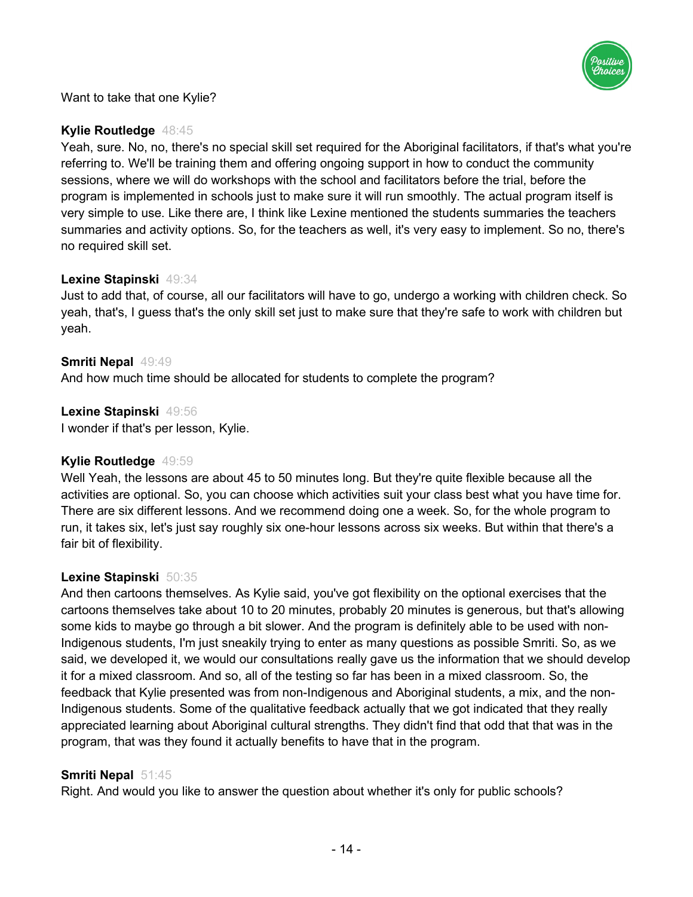

Want to take that one Kylie?

# **Kylie Routledge** 48:45

Yeah, sure. No, no, there's no special skill set required for the Aboriginal facilitators, if that's what you're referring to. We'll be training them and offering ongoing support in how to conduct the community sessions, where we will do workshops with the school and facilitators before the trial, before the program is implemented in schools just to make sure it will run smoothly. The actual program itself is very simple to use. Like there are, I think like Lexine mentioned the students summaries the teachers summaries and activity options. So, for the teachers as well, it's very easy to implement. So no, there's no required skill set.

# **Lexine Stapinski** 49:34

Just to add that, of course, all our facilitators will have to go, undergo a working with children check. So yeah, that's, I guess that's the only skill set just to make sure that they're safe to work with children but yeah.

# **Smriti Nepal** 49:49

And how much time should be allocated for students to complete the program?

## **Lexine Stapinski** 49:56

I wonder if that's per lesson, Kylie.

# **Kylie Routledge** 49:59

Well Yeah, the lessons are about 45 to 50 minutes long. But they're quite flexible because all the activities are optional. So, you can choose which activities suit your class best what you have time for. There are six different lessons. And we recommend doing one a week. So, for the whole program to run, it takes six, let's just say roughly six one-hour lessons across six weeks. But within that there's a fair bit of flexibility.

# **Lexine Stapinski** 50:35

And then cartoons themselves. As Kylie said, you've got flexibility on the optional exercises that the cartoons themselves take about 10 to 20 minutes, probably 20 minutes is generous, but that's allowing some kids to maybe go through a bit slower. And the program is definitely able to be used with non-Indigenous students, I'm just sneakily trying to enter as many questions as possible Smriti. So, as we said, we developed it, we would our consultations really gave us the information that we should develop it for a mixed classroom. And so, all of the testing so far has been in a mixed classroom. So, the feedback that Kylie presented was from non-Indigenous and Aboriginal students, a mix, and the non-Indigenous students. Some of the qualitative feedback actually that we got indicated that they really appreciated learning about Aboriginal cultural strengths. They didn't find that odd that that was in the program, that was they found it actually benefits to have that in the program.

## **Smriti Nepal** 51:45

Right. And would you like to answer the question about whether it's only for public schools?